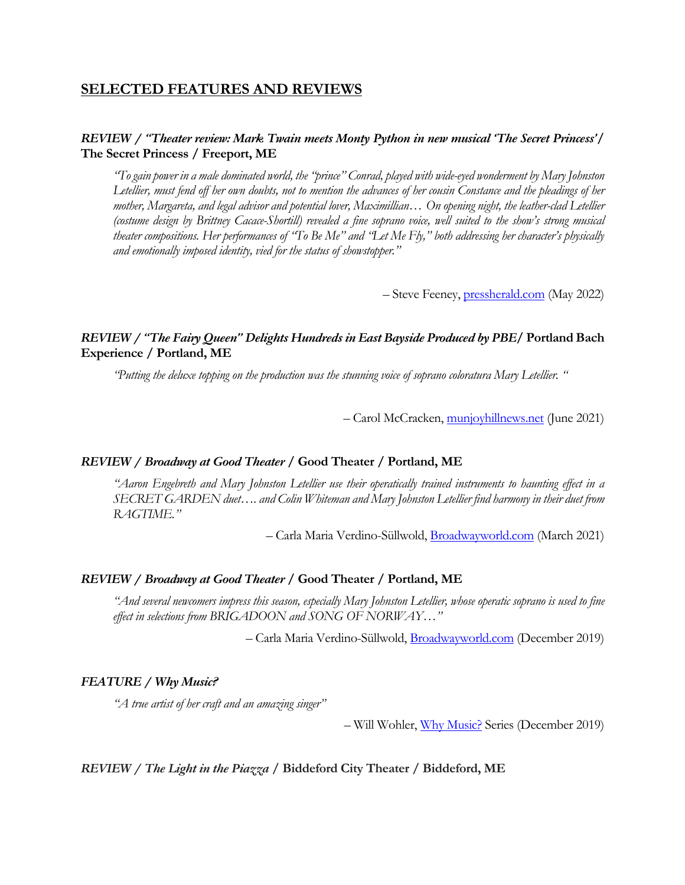# **SELECTED FEATURES AND REVIEWS**

## *REVIEW / "Theater review: Mark Twain meets Monty Python in new musical 'The Secret Princess'***/ The Secret Princess / Freeport, ME**

*"To gain power in a male dominated world, the "prince" Conrad, played with wide-eyed wonderment by Mary Johnston Letellier, must fend off her own doubts, not to mention the advances of her cousin Constance and the pleadings of her mother, Margareta, and legal advisor and potential lover, Maximillian… On opening night, the leather-clad Letellier (costume design by Brittney Cacace-Shortill) revealed a fine soprano voice, well suited to the show's strong musical theater compositions. Her performances of "To Be Me" and "Let Me Fly," both addressing her character's physically and emotionally imposed identity, vied for the status of showstopper."*

– Steve Feeney, pressherald.com (May 2022)

## *REVIEW / "The Fairy Queen" Delights Hundreds in East Bayside Produced by PBE***/ Portland Bach Experience / Portland, ME**

*"Putting the deluxe topping on the production was the stunning voice of soprano coloratura Mary Letellier. "*

– Carol McCracken, munjoyhillnews.net (June 2021)

### *REVIEW / Broadway at Good Theater* **/ Good Theater / Portland, ME**

*"Aaron Engebreth and Mary Johnston Letellier use their operatically trained instruments to haunting effect in a SECRET GARDEN duet…. and Colin Whiteman and Mary Johnston Letellier find harmony in their duet from RAGTIME."*

– Carla Maria Verdino-Süllwold, Broadwayworld.com (March 2021)

#### *REVIEW / Broadway at Good Theater* **/ Good Theater / Portland, ME**

*"And several newcomers impress this season, especially Mary Johnston Letellier, whose operatic soprano is used to fine effect in selections from BRIGADOON and SONG OF NORWAY…"*

– Carla Maria Verdino-Süllwold, Broadwayworld.com (December 2019)

#### *FEATURE / Why Music?*

*"A true artist of her craft and an amazing singer"*

– Will Wohler, Why Music? Series (December 2019)

## *REVIEW / The Light in the Piazza* **/ Biddeford City Theater / Biddeford, ME**